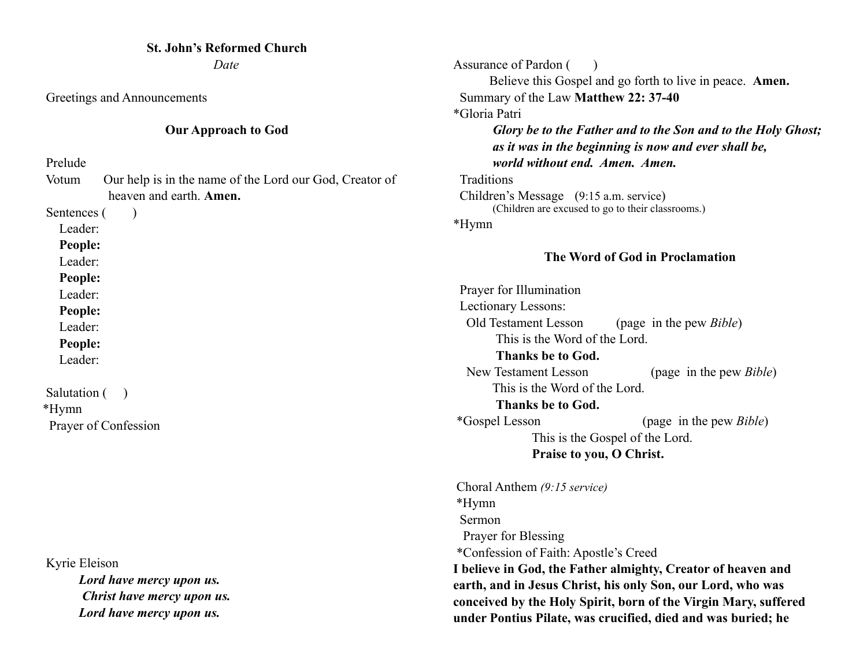# **St. John's Reformed Church**

*Date*

Greetings and Announcements

# **Our Approach to God**

Prelude

Votum Our help is in the name of the Lord our God, Creator of heaven and earth. **Amen.**

Sentences ()

Leader:

**People:** 

Leader:

**People:** 

Leader:

**People:**

Leader:

**People:** 

Leader:

Salutation () \*Hymn Prayer of Confession

 Kyrie Eleison *Lord have mercy upon us. Christ have mercy upon us. Lord have mercy upon us.*

Assurance of Pardon ( ) Believe this Gospel and go forth to live in peace. **Amen.**  Summary of the Law **Matthew 22: 37-40**  \*Gloria Patri *Glory be to the Father and to the Son and to the Holy Ghost; as it was in the beginning is now and ever shall be, world without end. Amen. Amen.* Traditions Children's Message (9:15 a.m. service) (Children are excused to go to their classrooms.) \*Hymn

# **The Word of God in Proclamation**

 Prayer for Illumination Lectionary Lessons: Old Testament Lesson (page in the pew *Bible*) This is the Word of the Lord. **Thanks be to God.** New Testament Lesson (page in the pew *Bible*) This is the Word of the Lord. **Thanks be to God.** \*Gospel Lesson (page in the pew *Bible*) This is the Gospel of the Lord. **Praise to you, O Christ.** 

Choral Anthem *(9:15 service)* \*Hymn Sermon **Prayer for Blessing**  \*Confession of Faith: Apostle's Creed **I believe in God, the Father almighty, Creator of heaven and earth, and in Jesus Christ, his only Son, our Lord, who was conceived by the Holy Spirit, born of the Virgin Mary, suffered under Pontius Pilate, was crucified, died and was buried; he**